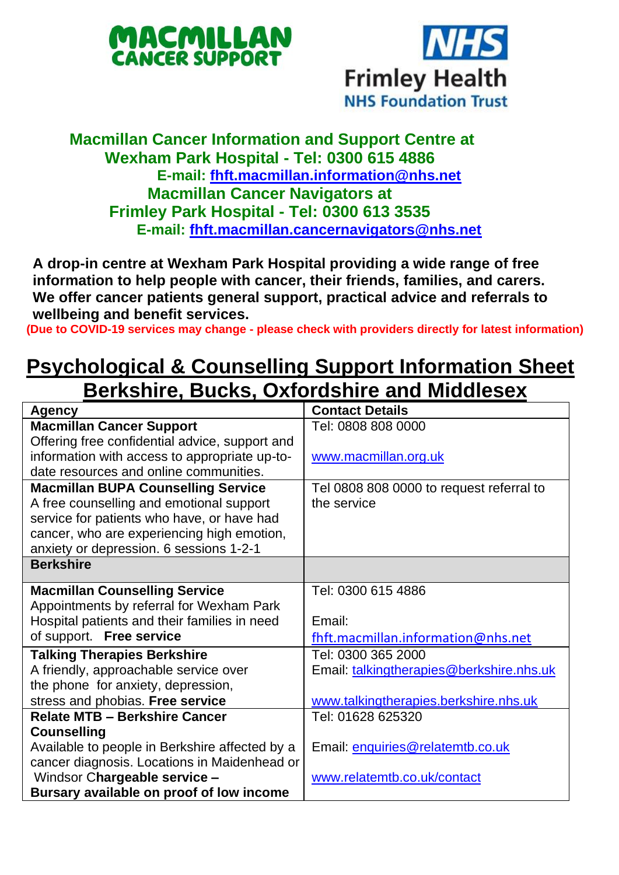



## **Macmillan Cancer Information and Support Centre at Wexham Park Hospital - Tel: 0300 615 4886 E-mail: [fhft.macmillan.information@nhs.net](mailto:fhft.macmillan.information@nhs.net) Macmillan Cancer Navigators at Frimley Park Hospital - Tel: 0300 613 3535 E-mail: [fhft.macmillan.cancernavigators@nhs.net](mailto:fhft.macmillan.cancernavigators@nhs.net)**

**A drop-in centre at Wexham Park Hospital providing a wide range of free information to help people with cancer, their friends, families, and carers. We offer cancer patients general support, practical advice and referrals to wellbeing and benefit services.**

**(Due to COVID-19 services may change - please check with providers directly for latest information)**

## **Psychological & Counselling Support Information Sheet Berkshire, Bucks, Oxfordshire and Middlesex**

| Agency                                         | <b>Contact Details</b>                   |
|------------------------------------------------|------------------------------------------|
| <b>Macmillan Cancer Support</b>                | Tel: 0808 808 0000                       |
| Offering free confidential advice, support and |                                          |
| information with access to appropriate up-to-  | www.macmillan.org.uk                     |
| date resources and online communities.         |                                          |
| <b>Macmillan BUPA Counselling Service</b>      | Tel 0808 808 0000 to request referral to |
| A free counselling and emotional support       | the service                              |
| service for patients who have, or have had     |                                          |
| cancer, who are experiencing high emotion,     |                                          |
| anxiety or depression. 6 sessions 1-2-1        |                                          |
| <b>Berkshire</b>                               |                                          |
| <b>Macmillan Counselling Service</b>           | Tel: 0300 615 4886                       |
| Appointments by referral for Wexham Park       |                                          |
| Hospital patients and their families in need   | Email:                                   |
| of support. Free service                       | fhft.macmillan.information@nhs.net       |
| <b>Talking Therapies Berkshire</b>             | Tel: 0300 365 2000                       |
| A friendly, approachable service over          | Email: talkingtherapies@berkshire.nhs.uk |
| the phone for anxiety, depression,             |                                          |
| stress and phobias. Free service               | www.talkingtherapies.berkshire.nhs.uk    |
| <b>Relate MTB - Berkshire Cancer</b>           | Tel: 01628 625320                        |
| Counselling                                    |                                          |
| Available to people in Berkshire affected by a | Email: enquiries@relatemtb.co.uk         |
| cancer diagnosis. Locations in Maidenhead or   |                                          |
| Windsor Chargeable service -                   | www.relatemtb.co.uk/contact              |
| Bursary available on proof of low income       |                                          |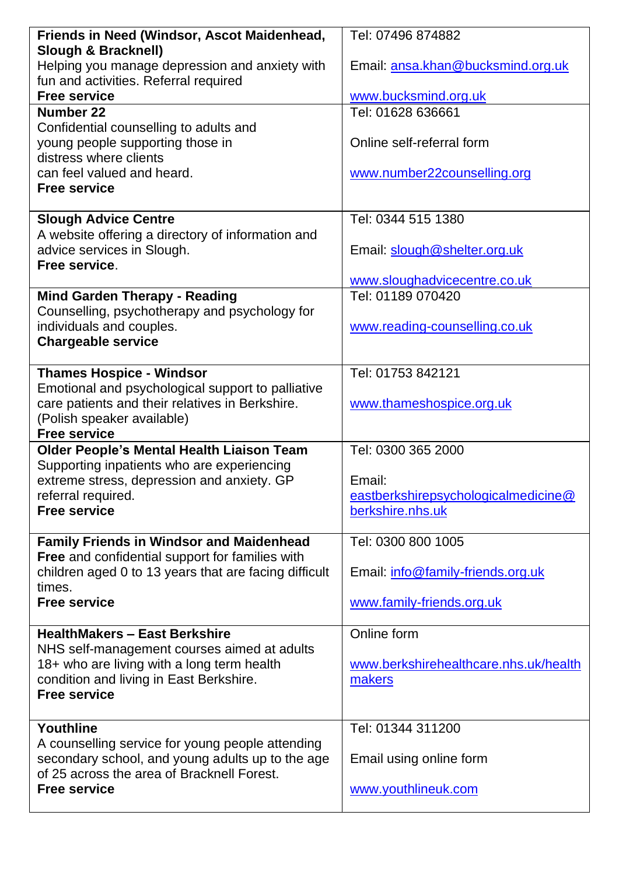| Friends in Need (Windsor, Ascot Maidenhead,                                                          | Tel: 07496 874882                                       |  |
|------------------------------------------------------------------------------------------------------|---------------------------------------------------------|--|
| Slough & Bracknell)                                                                                  |                                                         |  |
| Helping you manage depression and anxiety with<br>fun and activities. Referral required              | Email: ansa.khan@bucksmind.org.uk                       |  |
| <b>Free service</b>                                                                                  | www.bucksmind.org.uk                                    |  |
| Number 22                                                                                            | Tel: 01628 636661                                       |  |
| Confidential counselling to adults and                                                               |                                                         |  |
| young people supporting those in                                                                     | Online self-referral form                               |  |
| distress where clients                                                                               |                                                         |  |
| can feel valued and heard.<br><b>Free service</b>                                                    | www.number22counselling.org                             |  |
|                                                                                                      |                                                         |  |
| <b>Slough Advice Centre</b>                                                                          | Tel: 0344 515 1380                                      |  |
| A website offering a directory of information and                                                    |                                                         |  |
| advice services in Slough.                                                                           | Email: slough@shelter.org.uk                            |  |
| Free service.                                                                                        |                                                         |  |
| <b>Mind Garden Therapy - Reading</b>                                                                 | www.sloughadvicecentre.co.uk<br>Tel: 01189 070420       |  |
| Counselling, psychotherapy and psychology for                                                        |                                                         |  |
| individuals and couples.                                                                             | www.reading-counselling.co.uk                           |  |
| <b>Chargeable service</b>                                                                            |                                                         |  |
|                                                                                                      |                                                         |  |
| <b>Thames Hospice - Windsor</b>                                                                      | Tel: 01753 842121                                       |  |
| Emotional and psychological support to palliative<br>care patients and their relatives in Berkshire. | www.thameshospice.org.uk                                |  |
| (Polish speaker available)                                                                           |                                                         |  |
| <b>Free service</b>                                                                                  |                                                         |  |
| Older People's Mental Health Liaison Team                                                            | Tel: 0300 365 2000                                      |  |
| Supporting inpatients who are experiencing                                                           |                                                         |  |
| extreme stress, depression and anxiety. GP<br>referral required.                                     | Email:                                                  |  |
| <b>Free service</b>                                                                                  | eastberkshirepsychologicalmedicine@<br>berkshire.nhs.uk |  |
|                                                                                                      |                                                         |  |
| <b>Family Friends in Windsor and Maidenhead</b>                                                      | Tel: 0300 800 1005                                      |  |
| Free and confidential support for families with                                                      |                                                         |  |
| children aged 0 to 13 years that are facing difficult<br>times.                                      | Email: info@family-friends.org.uk                       |  |
| <b>Free service</b>                                                                                  | www.family-friends.org.uk                               |  |
|                                                                                                      |                                                         |  |
| <b>HealthMakers - East Berkshire</b>                                                                 | Online form                                             |  |
| NHS self-management courses aimed at adults                                                          |                                                         |  |
| 18+ who are living with a long term health                                                           | www.berkshirehealthcare.nhs.uk/health                   |  |
| condition and living in East Berkshire.<br><b>Free service</b>                                       | makers                                                  |  |
|                                                                                                      |                                                         |  |
| Youthline                                                                                            | Tel: 01344 311200                                       |  |
| A counselling service for young people attending                                                     |                                                         |  |
| secondary school, and young adults up to the age                                                     | Email using online form                                 |  |
| of 25 across the area of Bracknell Forest.<br><b>Free service</b>                                    | www.youthlineuk.com                                     |  |
|                                                                                                      |                                                         |  |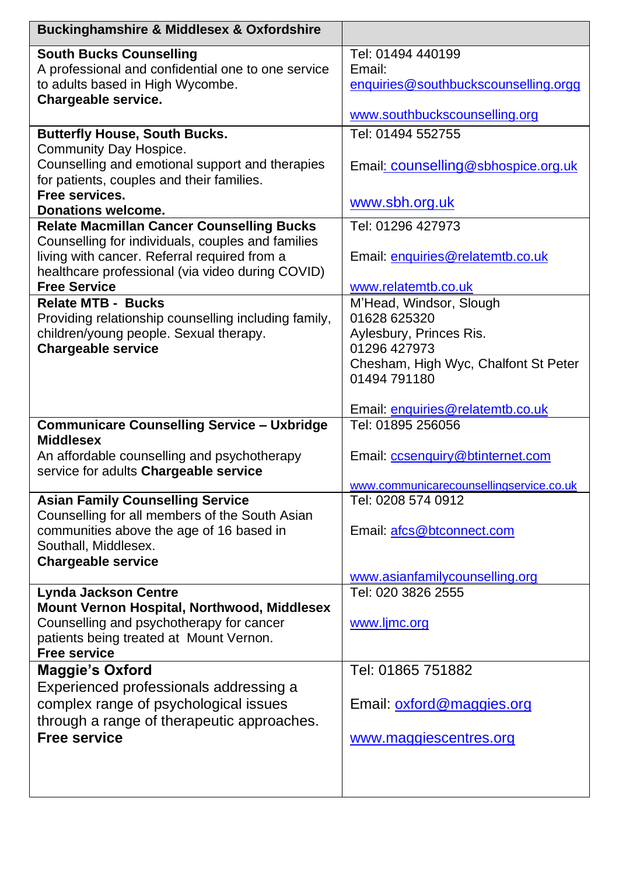| <b>Buckinghamshire &amp; Middlesex &amp; Oxfordshire</b> |                                         |  |
|----------------------------------------------------------|-----------------------------------------|--|
| <b>South Bucks Counselling</b>                           | Tel: 01494 440199                       |  |
| A professional and confidential one to one service       | Email:                                  |  |
| to adults based in High Wycombe.                         | enquiries@southbuckscounselling.orgg    |  |
| Chargeable service.                                      |                                         |  |
|                                                          | www.southbuckscounselling.org           |  |
| <b>Butterfly House, South Bucks.</b>                     | Tel: 01494 552755                       |  |
| Community Day Hospice.                                   |                                         |  |
| Counselling and emotional support and therapies          | Email: counselling@sbhospice.org.uk     |  |
| for patients, couples and their families.                |                                         |  |
| Free services.                                           | www.sbh.org.uk                          |  |
| Donations welcome.                                       |                                         |  |
| <b>Relate Macmillan Cancer Counselling Bucks</b>         | Tel: 01296 427973                       |  |
| Counselling for individuals, couples and families        |                                         |  |
| living with cancer. Referral required from a             | Email: enquiries@relatemtb.co.uk        |  |
| healthcare professional (via video during COVID)         |                                         |  |
| <b>Free Service</b>                                      | www.relatemtb.co.uk                     |  |
| <b>Relate MTB - Bucks</b>                                | M'Head, Windsor, Slough                 |  |
| Providing relationship counselling including family,     | 01628 625320                            |  |
| children/young people. Sexual therapy.                   | Aylesbury, Princes Ris.                 |  |
| <b>Chargeable service</b>                                | 01296 427973                            |  |
|                                                          | Chesham, High Wyc, Chalfont St Peter    |  |
|                                                          | 01494 791180                            |  |
|                                                          |                                         |  |
|                                                          | Email: enquiries@relatemtb.co.uk        |  |
| <b>Communicare Counselling Service - Uxbridge</b>        | Tel: 01895 256056                       |  |
| <b>Middlesex</b>                                         |                                         |  |
| An affordable counselling and psychotherapy              | Email: ccsenquiry@btinternet.com        |  |
| service for adults Chargeable service                    |                                         |  |
|                                                          | www.communicarecounsellingservice.co.uk |  |
| <b>Asian Family Counselling Service</b>                  | Tel: 0208 574 0912                      |  |
| Counselling for all members of the South Asian           |                                         |  |
| communities above the age of 16 based in                 | Email: afcs@btconnect.com               |  |
| Southall, Middlesex.                                     |                                         |  |
| <b>Chargeable service</b>                                |                                         |  |
|                                                          | www.asianfamilycounselling.org          |  |
| <b>Lynda Jackson Centre</b>                              | Tel: 020 3826 2555                      |  |
| Mount Vernon Hospital, Northwood, Middlesex              |                                         |  |
| Counselling and psychotherapy for cancer                 | www.ljmc.org                            |  |
| patients being treated at Mount Vernon.                  |                                         |  |
| <b>Free service</b>                                      |                                         |  |
| <b>Maggie's Oxford</b>                                   | Tel: 01865 751882                       |  |
| Experienced professionals addressing a                   |                                         |  |
| complex range of psychological issues                    | Email: oxford@maggies.org               |  |
| through a range of therapeutic approaches.               |                                         |  |
| <b>Free service</b>                                      | www.maggiescentres.org                  |  |
|                                                          |                                         |  |
|                                                          |                                         |  |
|                                                          |                                         |  |
|                                                          |                                         |  |